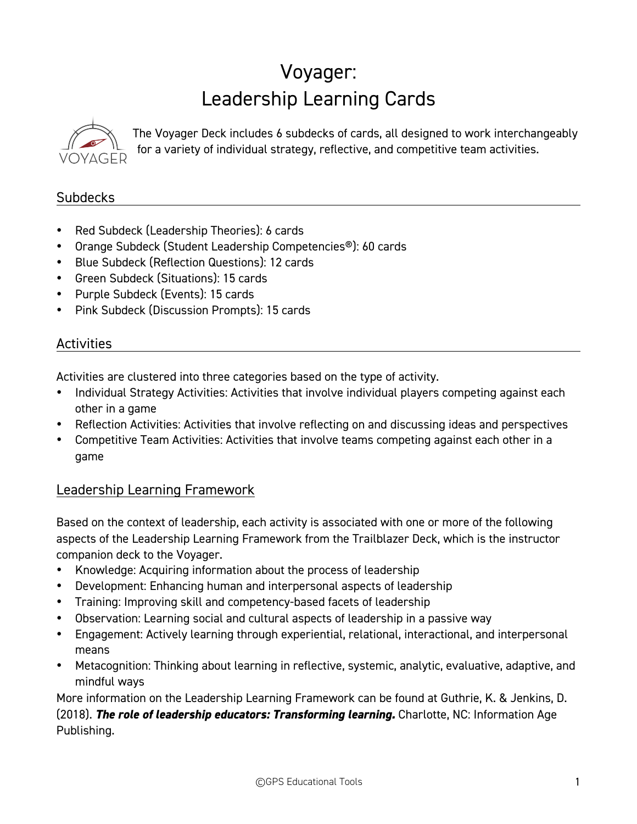# Voyager: Leadership Learning Cards



The Voyager Deck includes 6 subdecks of cards, all designed to work interchangeably for a variety of individual strategy, reflective, and competitive team activities.

### **Subdecks**

- Red Subdeck (Leadership Theories): 6 cards
- Orange Subdeck (Student Leadership Competencies®): 60 cards
- Blue Subdeck (Reflection Questions): 12 cards
- Green Subdeck (Situations): 15 cards
- Purple Subdeck (Events): 15 cards
- Pink Subdeck (Discussion Prompts): 15 cards

### **Activities**

Activities are clustered into three categories based on the type of activity.

- Individual Strategy Activities: Activities that involve individual players competing against each other in a game
- Reflection Activities: Activities that involve reflecting on and discussing ideas and perspectives
- Competitive Team Activities: Activities that involve teams competing against each other in a game

### Leadership Learning Framework

Based on the context of leadership, each activity is associated with one or more of the following aspects of the Leadership Learning Framework from the Trailblazer Deck, which is the instructor companion deck to the Voyager.

- Knowledge: Acquiring information about the process of leadership
- Development: Enhancing human and interpersonal aspects of leadership
- Training: Improving skill and competency-based facets of leadership
- Observation: Learning social and cultural aspects of leadership in a passive way
- Engagement: Actively learning through experiential, relational, interactional, and interpersonal means
- Metacognition: Thinking about learning in reflective, systemic, analytic, evaluative, adaptive, and mindful ways

More information on the Leadership Learning Framework can be found at Guthrie, K. & Jenkins, D. (2018). *The role of leadership educators: Transforming learning.* Charlotte, NC: Information Age Publishing.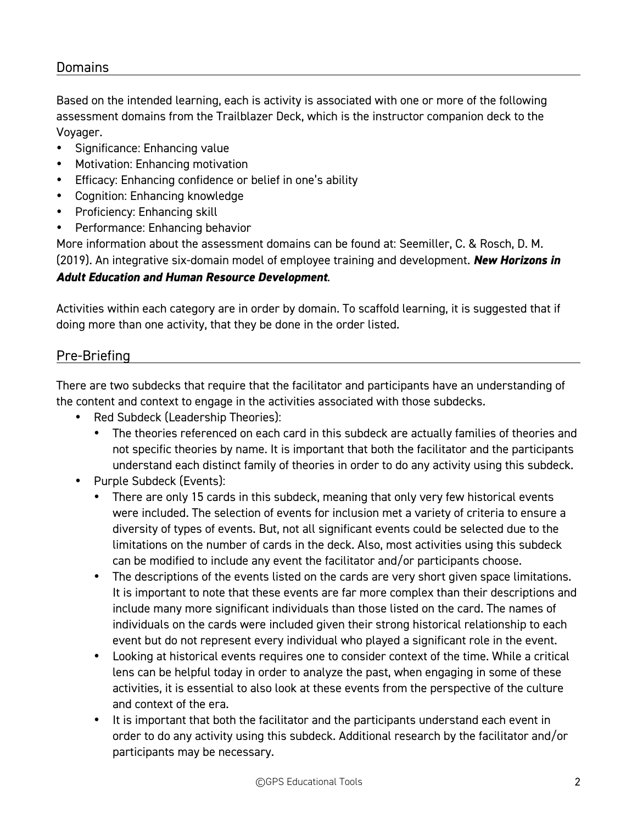### **Domains**

Based on the intended learning, each is activity is associated with one or more of the following assessment domains from the Trailblazer Deck, which is the instructor companion deck to the Voyager.

- Significance: Enhancing value
- Motivation: Enhancing motivation
- Efficacy: Enhancing confidence or belief in one's ability
- Cognition: Enhancing knowledge
- Proficiency: Enhancing skill
- Performance: Enhancing behavior

More information about the assessment domains can be found at: Seemiller, C. & Rosch, D. M. (2019). An integrative six-domain model of employee training and development. *New Horizons in* 

### *Adult Education and Human Resource Development*.

Activities within each category are in order by domain. To scaffold learning, it is suggested that if doing more than one activity, that they be done in the order listed.

### Pre-Briefing

There are two subdecks that require that the facilitator and participants have an understanding of the content and context to engage in the activities associated with those subdecks.

- Red Subdeck (Leadership Theories):
	- The theories referenced on each card in this subdeck are actually families of theories and not specific theories by name. It is important that both the facilitator and the participants understand each distinct family of theories in order to do any activity using this subdeck.
- Purple Subdeck (Events):
	- There are only 15 cards in this subdeck, meaning that only very few historical events were included. The selection of events for inclusion met a variety of criteria to ensure a diversity of types of events. But, not all significant events could be selected due to the limitations on the number of cards in the deck. Also, most activities using this subdeck can be modified to include any event the facilitator and/or participants choose.
	- The descriptions of the events listed on the cards are very short given space limitations. It is important to note that these events are far more complex than their descriptions and include many more significant individuals than those listed on the card. The names of individuals on the cards were included given their strong historical relationship to each event but do not represent every individual who played a significant role in the event.
	- Looking at historical events requires one to consider context of the time. While a critical lens can be helpful today in order to analyze the past, when engaging in some of these activities, it is essential to also look at these events from the perspective of the culture and context of the era.
	- It is important that both the facilitator and the participants understand each event in order to do any activity using this subdeck. Additional research by the facilitator and/or participants may be necessary.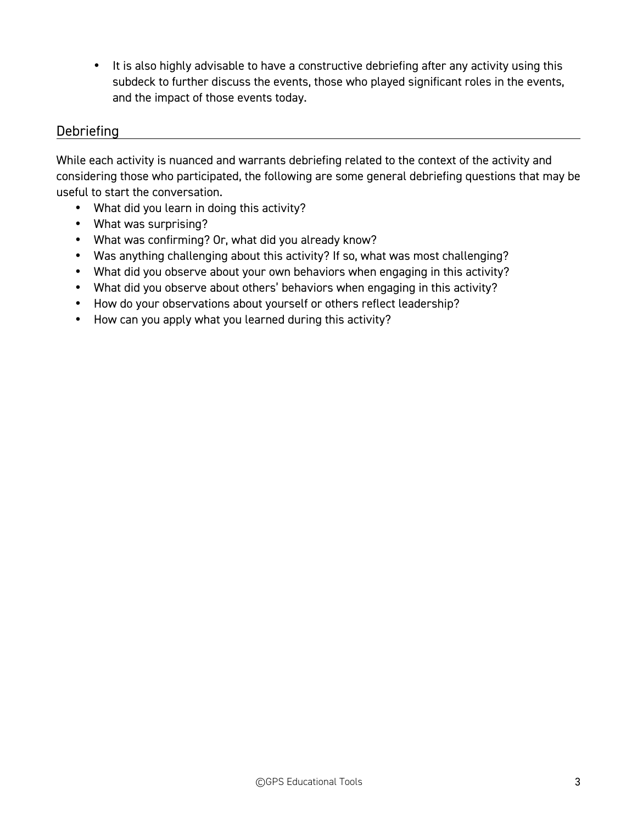• It is also highly advisable to have a constructive debriefing after any activity using this subdeck to further discuss the events, those who played significant roles in the events, and the impact of those events today.

### **Debriefing**

While each activity is nuanced and warrants debriefing related to the context of the activity and considering those who participated, the following are some general debriefing questions that may be useful to start the conversation.

- What did you learn in doing this activity?
- What was surprising?
- What was confirming? Or, what did you already know?
- Was anything challenging about this activity? If so, what was most challenging?
- What did you observe about your own behaviors when engaging in this activity?
- What did you observe about others' behaviors when engaging in this activity?
- How do your observations about yourself or others reflect leadership?
- How can you apply what you learned during this activity?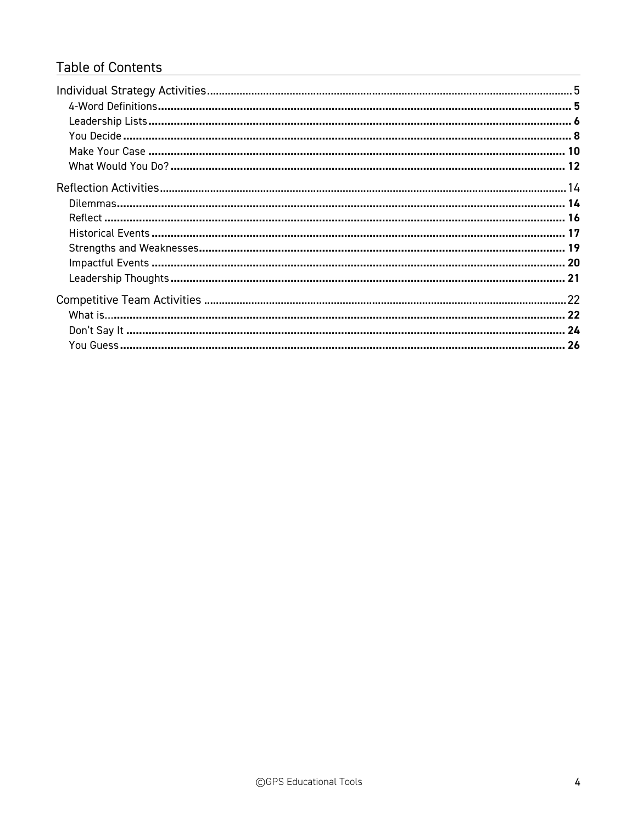### **Table of Contents**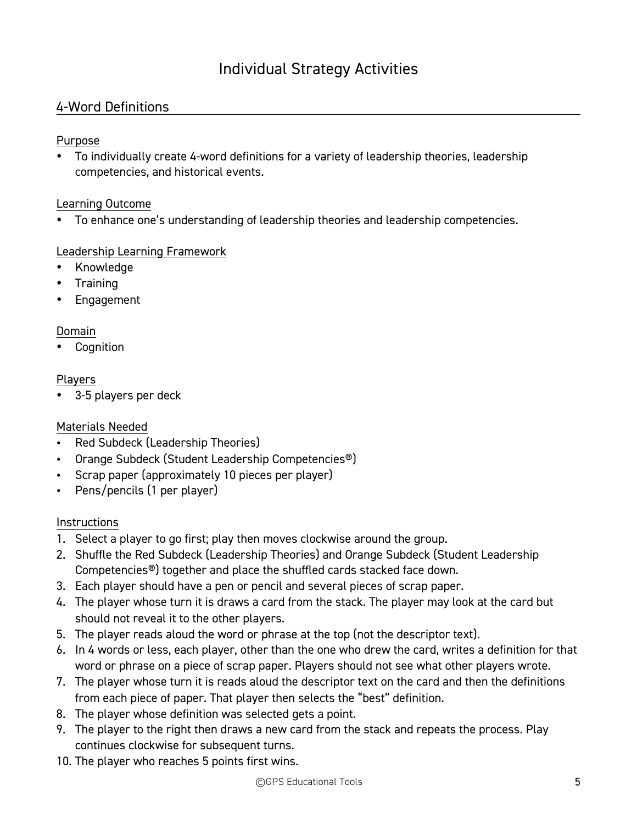### 4-Word Definitions

### Purpose

• To individually create 4-word definitions for a variety of leadership theories, leadership competencies, and historical events.

#### Learning Outcome

• To enhance one's understanding of leadership theories and leadership competencies.

### Leadership Learning Framework

- Knowledge
- Training
- Engagement

### Domain

**Cognition** 

#### Players

3-5 players per deck

### Materials Needed

- Red Subdeck (Leadership Theories)
- Orange Subdeck (Student Leadership Competencies®)
- Scrap paper (approximately 10 pieces per player)
- Pens/pencils (1 per player)

- 1. Select a player to go first; play then moves clockwise around the group.
- 2. Shuffle the Red Subdeck (Leadership Theories) and Orange Subdeck (Student Leadership Competencies®) together and place the shuffled cards stacked face down.
- 3. Each player should have a pen or pencil and several pieces of scrap paper.
- 4. The player whose turn it is draws a card from the stack. The player may look at the card but should not reveal it to the other players.
- 5. The player reads aloud the word or phrase at the top (not the descriptor text).
- 6. In 4 words or less, each player, other than the one who drew the card, writes a definition for that word or phrase on a piece of scrap paper. Players should not see what other players wrote.
- 7. The player whose turn it is reads aloud the descriptor text on the card and then the definitions from each piece of paper. That player then selects the "best" definition.
- 8. The player whose definition was selected gets a point.
- 9. The player to the right then draws a new card from the stack and repeats the process. Play continues clockwise for subsequent turns.
- 10. The player who reaches 5 points first wins.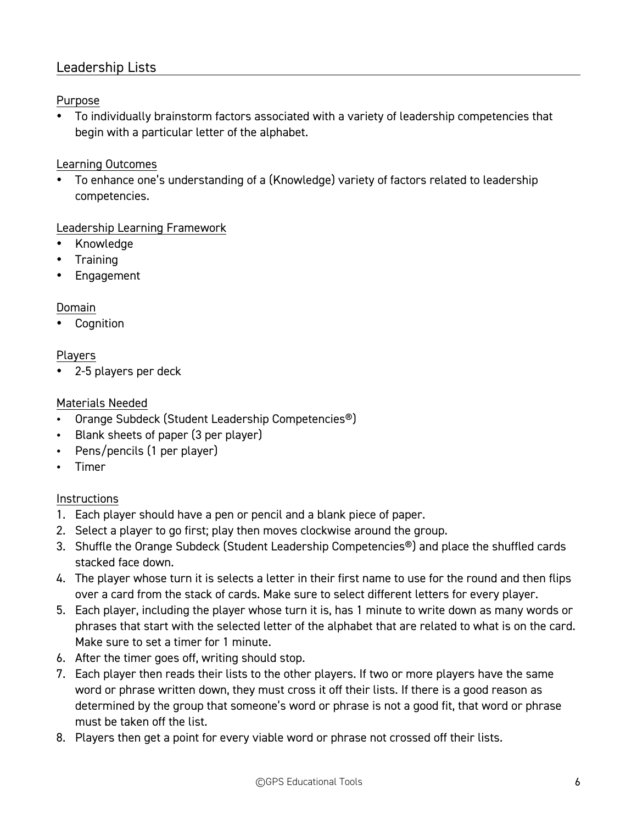### Leadership Lists

### Purpose

• To individually brainstorm factors associated with a variety of leadership competencies that begin with a particular letter of the alphabet.

### Learning Outcomes

• To enhance one's understanding of a (Knowledge) variety of factors related to leadership competencies.

### Leadership Learning Framework

- Knowledge
- Training
- Engagement

### Domain

**Cognition** 

### Players

• 2-5 players per deck

### Materials Needed

- Orange Subdeck (Student Leadership Competencies®)
- Blank sheets of paper (3 per player)
- Pens/pencils (1 per player)
- Timer

- 1. Each player should have a pen or pencil and a blank piece of paper.
- 2. Select a player to go first; play then moves clockwise around the group.
- 3. Shuffle the Orange Subdeck (Student Leadership Competencies®) and place the shuffled cards stacked face down.
- 4. The player whose turn it is selects a letter in their first name to use for the round and then flips over a card from the stack of cards. Make sure to select different letters for every player.
- 5. Each player, including the player whose turn it is, has 1 minute to write down as many words or phrases that start with the selected letter of the alphabet that are related to what is on the card. Make sure to set a timer for 1 minute.
- 6. After the timer goes off, writing should stop.
- 7. Each player then reads their lists to the other players. If two or more players have the same word or phrase written down, they must cross it off their lists. If there is a good reason as determined by the group that someone's word or phrase is not a good fit, that word or phrase must be taken off the list.
- 8. Players then get a point for every viable word or phrase not crossed off their lists.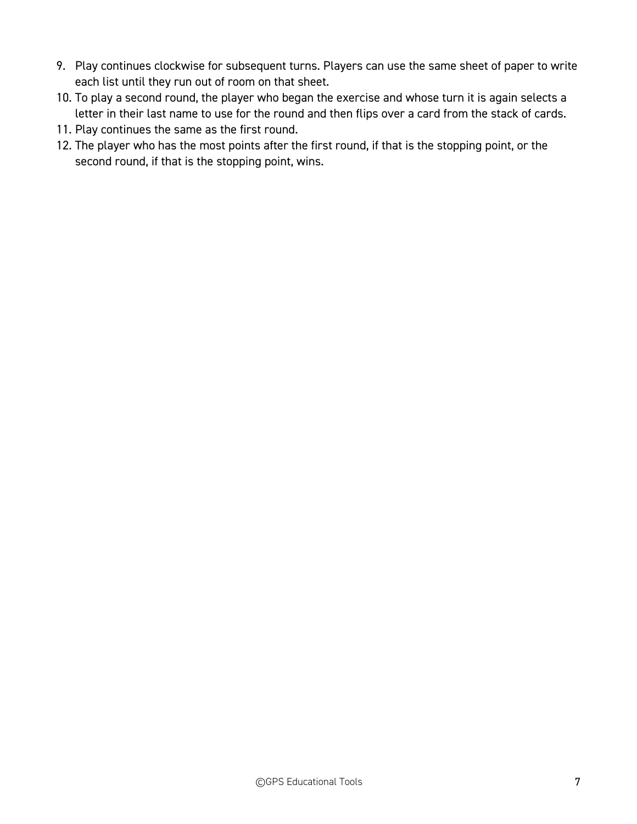- 9. Play continues clockwise for subsequent turns. Players can use the same sheet of paper to write each list until they run out of room on that sheet.
- 10. To play a second round, the player who began the exercise and whose turn it is again selects a letter in their last name to use for the round and then flips over a card from the stack of cards.
- 11. Play continues the same as the first round.
- 12. The player who has the most points after the first round, if that is the stopping point, or the second round, if that is the stopping point, wins.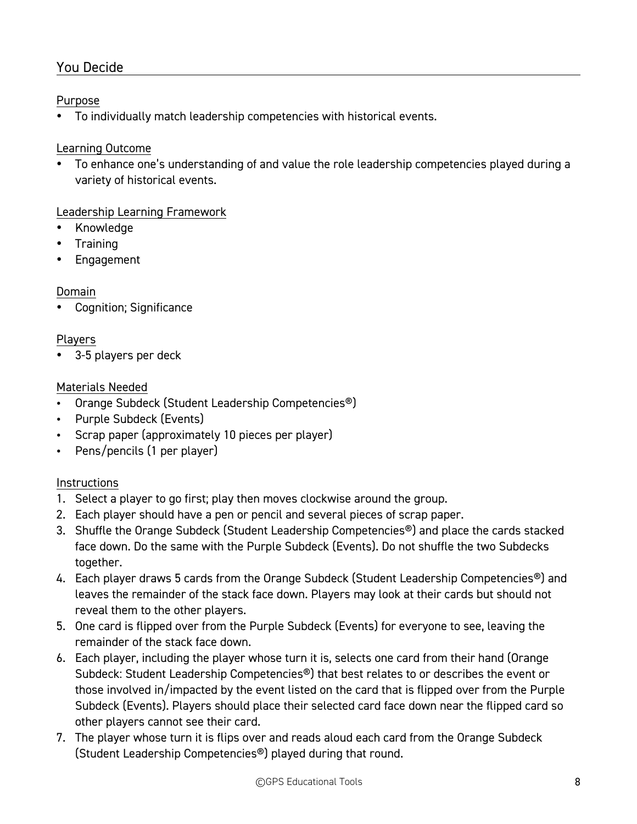### You Decide

### Purpose

• To individually match leadership competencies with historical events.

### Learning Outcome

• To enhance one's understanding of and value the role leadership competencies played during a variety of historical events.

### Leadership Learning Framework

- Knowledge
- Training
- **Engagement**

### Domain

• Cognition; Significance

### Players

• 3-5 players per deck

### Materials Needed

- Orange Subdeck (Student Leadership Competencies®)
- Purple Subdeck (Events)
- Scrap paper (approximately 10 pieces per player)
- Pens/pencils (1 per player)

- 1. Select a player to go first; play then moves clockwise around the group.
- 2. Each player should have a pen or pencil and several pieces of scrap paper.
- 3. Shuffle the Orange Subdeck (Student Leadership Competencies®) and place the cards stacked face down. Do the same with the Purple Subdeck (Events). Do not shuffle the two Subdecks together.
- 4. Each player draws 5 cards from the Orange Subdeck (Student Leadership Competencies®) and leaves the remainder of the stack face down. Players may look at their cards but should not reveal them to the other players.
- 5. One card is flipped over from the Purple Subdeck (Events) for everyone to see, leaving the remainder of the stack face down.
- 6. Each player, including the player whose turn it is, selects one card from their hand (Orange Subdeck: Student Leadership Competencies®) that best relates to or describes the event or those involved in/impacted by the event listed on the card that is flipped over from the Purple Subdeck (Events). Players should place their selected card face down near the flipped card so other players cannot see their card.
- 7. The player whose turn it is flips over and reads aloud each card from the Orange Subdeck (Student Leadership Competencies®) played during that round.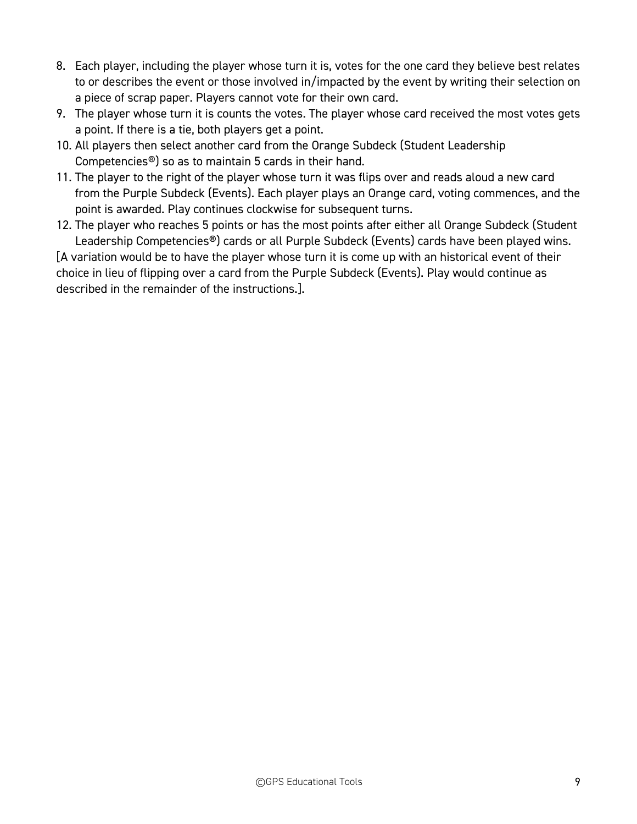- 8. Each player, including the player whose turn it is, votes for the one card they believe best relates to or describes the event or those involved in/impacted by the event by writing their selection on a piece of scrap paper. Players cannot vote for their own card.
- 9. The player whose turn it is counts the votes. The player whose card received the most votes gets a point. If there is a tie, both players get a point.
- 10. All players then select another card from the Orange Subdeck (Student Leadership Competencies®) so as to maintain 5 cards in their hand.
- 11. The player to the right of the player whose turn it was flips over and reads aloud a new card from the Purple Subdeck (Events). Each player plays an Orange card, voting commences, and the point is awarded. Play continues clockwise for subsequent turns.
- 12. The player who reaches 5 points or has the most points after either all Orange Subdeck (Student Leadership Competencies®) cards or all Purple Subdeck (Events) cards have been played wins.

[A variation would be to have the player whose turn it is come up with an historical event of their choice in lieu of flipping over a card from the Purple Subdeck (Events). Play would continue as described in the remainder of the instructions.].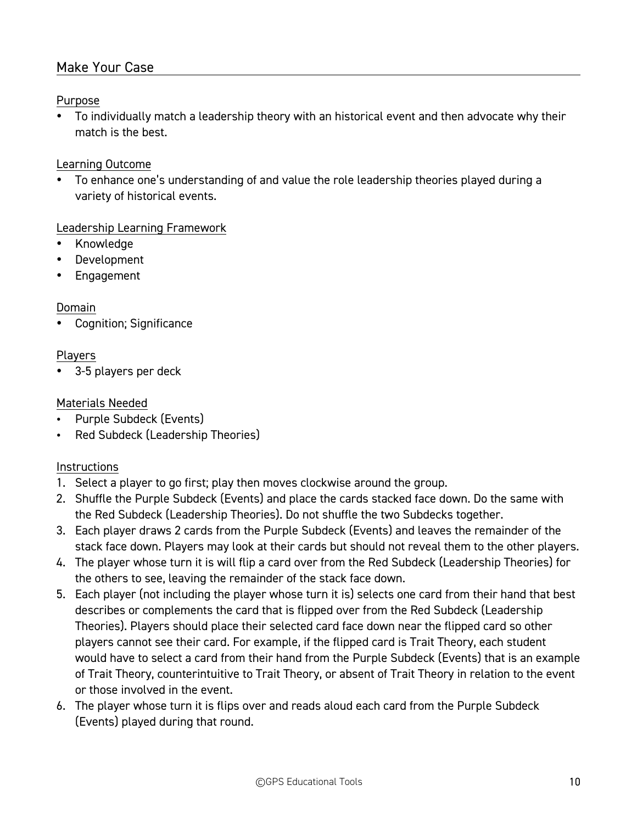### Make Your Case

### Purpose

• To individually match a leadership theory with an historical event and then advocate why their match is the best.

#### Learning Outcome

• To enhance one's understanding of and value the role leadership theories played during a variety of historical events.

#### Leadership Learning Framework

- Knowledge
- **Development**
- Engagement

#### Domain

• Cognition; Significance

#### Players

• 3-5 players per deck

#### Materials Needed

- Purple Subdeck (Events)
- Red Subdeck (Leadership Theories)

- 1. Select a player to go first; play then moves clockwise around the group.
- 2. Shuffle the Purple Subdeck (Events) and place the cards stacked face down. Do the same with the Red Subdeck (Leadership Theories). Do not shuffle the two Subdecks together.
- 3. Each player draws 2 cards from the Purple Subdeck (Events) and leaves the remainder of the stack face down. Players may look at their cards but should not reveal them to the other players.
- 4. The player whose turn it is will flip a card over from the Red Subdeck (Leadership Theories) for the others to see, leaving the remainder of the stack face down.
- 5. Each player (not including the player whose turn it is) selects one card from their hand that best describes or complements the card that is flipped over from the Red Subdeck (Leadership Theories). Players should place their selected card face down near the flipped card so other players cannot see their card. For example, if the flipped card is Trait Theory, each student would have to select a card from their hand from the Purple Subdeck (Events) that is an example of Trait Theory, counterintuitive to Trait Theory, or absent of Trait Theory in relation to the event or those involved in the event.
- 6. The player whose turn it is flips over and reads aloud each card from the Purple Subdeck (Events) played during that round.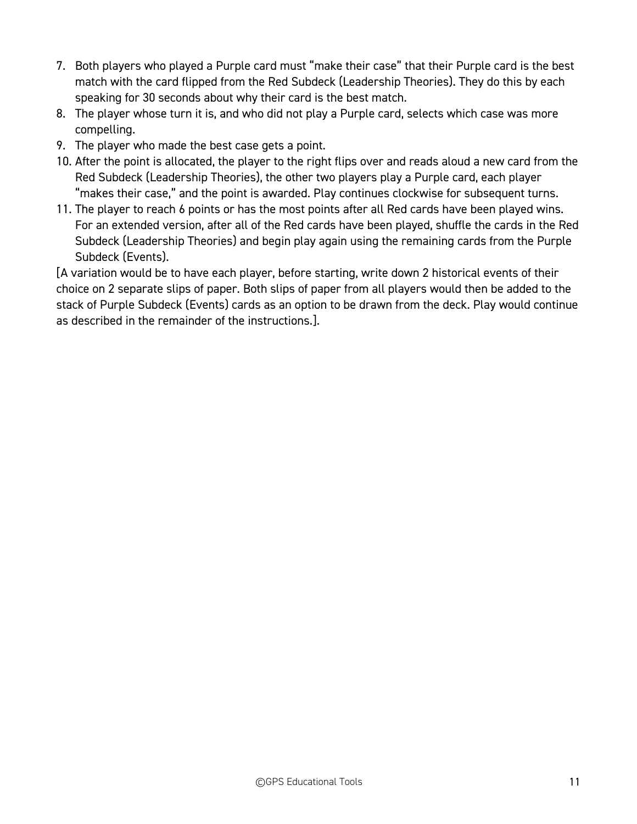- 7. Both players who played a Purple card must "make their case" that their Purple card is the best match with the card flipped from the Red Subdeck (Leadership Theories). They do this by each speaking for 30 seconds about why their card is the best match.
- 8. The player whose turn it is, and who did not play a Purple card, selects which case was more compelling.
- 9. The player who made the best case gets a point.
- 10. After the point is allocated, the player to the right flips over and reads aloud a new card from the Red Subdeck (Leadership Theories), the other two players play a Purple card, each player "makes their case," and the point is awarded. Play continues clockwise for subsequent turns.
- 11. The player to reach 6 points or has the most points after all Red cards have been played wins. For an extended version, after all of the Red cards have been played, shuffle the cards in the Red Subdeck (Leadership Theories) and begin play again using the remaining cards from the Purple Subdeck (Events).

[A variation would be to have each player, before starting, write down 2 historical events of their choice on 2 separate slips of paper. Both slips of paper from all players would then be added to the stack of Purple Subdeck (Events) cards as an option to be drawn from the deck. Play would continue as described in the remainder of the instructions.].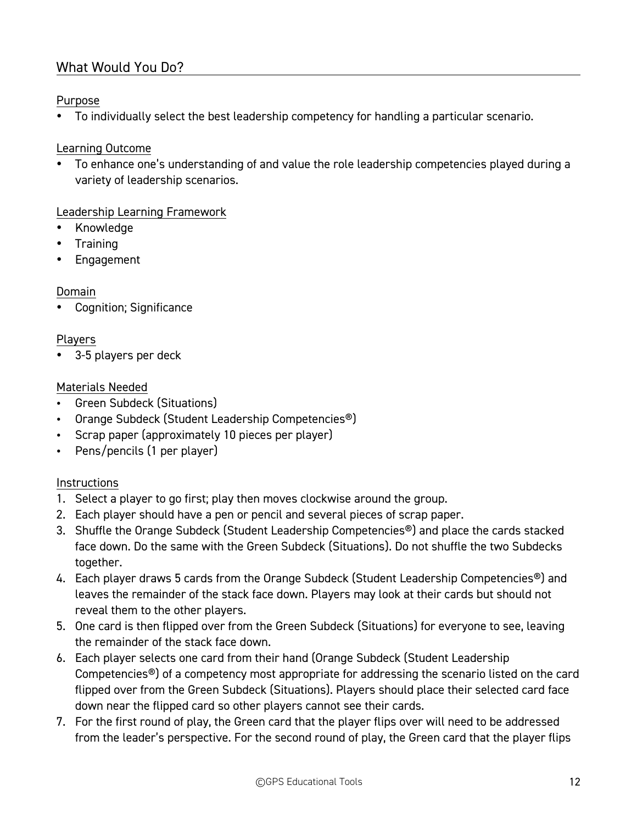### What Would You Do?

### Purpose

• To individually select the best leadership competency for handling a particular scenario.

### Learning Outcome

• To enhance one's understanding of and value the role leadership competencies played during a variety of leadership scenarios.

### Leadership Learning Framework

- Knowledge
- Training
- **Engagement**

#### Domain

• Cognition; Significance

#### Players

• 3-5 players per deck

#### Materials Needed

- Green Subdeck (Situations)
- Orange Subdeck (Student Leadership Competencies®)
- Scrap paper (approximately 10 pieces per player)
- Pens/pencils (1 per player)

- 1. Select a player to go first; play then moves clockwise around the group.
- 2. Each player should have a pen or pencil and several pieces of scrap paper.
- 3. Shuffle the Orange Subdeck (Student Leadership Competencies®) and place the cards stacked face down. Do the same with the Green Subdeck (Situations). Do not shuffle the two Subdecks together.
- 4. Each player draws 5 cards from the Orange Subdeck (Student Leadership Competencies<sup>®</sup>) and leaves the remainder of the stack face down. Players may look at their cards but should not reveal them to the other players.
- 5. One card is then flipped over from the Green Subdeck (Situations) for everyone to see, leaving the remainder of the stack face down.
- 6. Each player selects one card from their hand (Orange Subdeck (Student Leadership Competencies®) of a competency most appropriate for addressing the scenario listed on the card flipped over from the Green Subdeck (Situations). Players should place their selected card face down near the flipped card so other players cannot see their cards.
- 7. For the first round of play, the Green card that the player flips over will need to be addressed from the leader's perspective. For the second round of play, the Green card that the player flips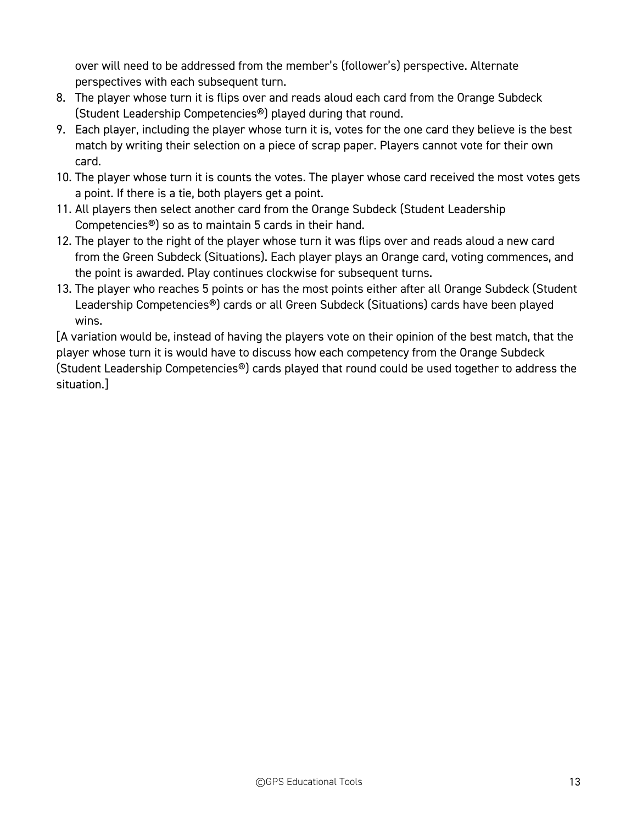over will need to be addressed from the member's (follower's) perspective. Alternate perspectives with each subsequent turn.

- 8. The player whose turn it is flips over and reads aloud each card from the Orange Subdeck (Student Leadership Competencies®) played during that round.
- 9. Each player, including the player whose turn it is, votes for the one card they believe is the best match by writing their selection on a piece of scrap paper. Players cannot vote for their own card.
- 10. The player whose turn it is counts the votes. The player whose card received the most votes gets a point. If there is a tie, both players get a point.
- 11. All players then select another card from the Orange Subdeck (Student Leadership Competencies®) so as to maintain 5 cards in their hand.
- 12. The player to the right of the player whose turn it was flips over and reads aloud a new card from the Green Subdeck (Situations). Each player plays an Orange card, voting commences, and the point is awarded. Play continues clockwise for subsequent turns.
- 13. The player who reaches 5 points or has the most points either after all Orange Subdeck (Student Leadership Competencies®) cards or all Green Subdeck (Situations) cards have been played wins.

[A variation would be, instead of having the players vote on their opinion of the best match, that the player whose turn it is would have to discuss how each competency from the Orange Subdeck (Student Leadership Competencies®) cards played that round could be used together to address the situation.]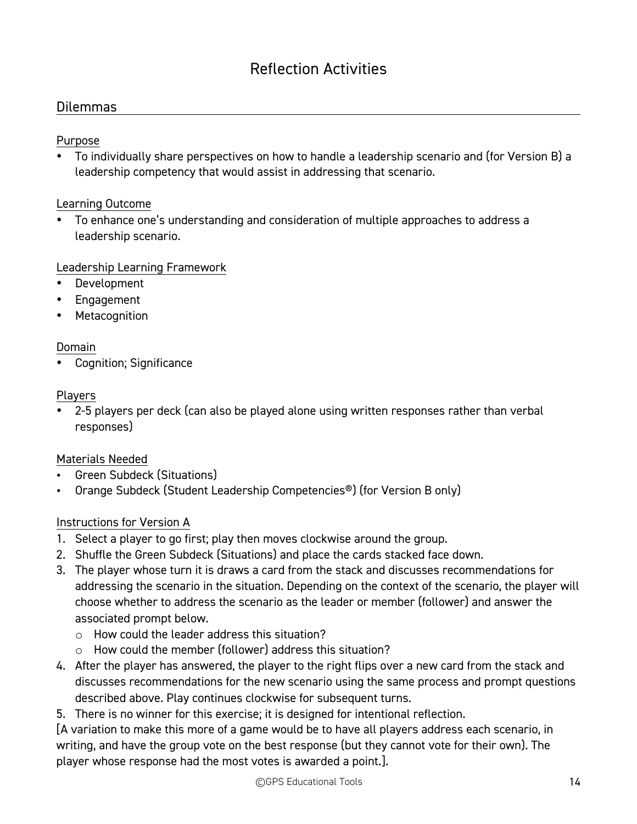# Reflection Activities

### Dilemmas

### Purpose

• To individually share perspectives on how to handle a leadership scenario and (for Version B) a leadership competency that would assist in addressing that scenario.

### Learning Outcome

• To enhance one's understanding and consideration of multiple approaches to address a leadership scenario.

### Leadership Learning Framework

- **Development**
- Engagement
- Metacognition

### Domain

• Cognition; Significance

#### Players

• 2-5 players per deck (can also be played alone using written responses rather than verbal responses)

### Materials Needed

- Green Subdeck (Situations)
- Orange Subdeck (Student Leadership Competencies<sup>®</sup>) (for Version B only)

### Instructions for Version A

- 1. Select a player to go first; play then moves clockwise around the group.
- 2. Shuffle the Green Subdeck (Situations) and place the cards stacked face down.
- 3. The player whose turn it is draws a card from the stack and discusses recommendations for addressing the scenario in the situation. Depending on the context of the scenario, the player will choose whether to address the scenario as the leader or member (follower) and answer the associated prompt below.
	- $\circ$  How could the leader address this situation?
	- o How could the member (follower) address this situation?
- 4. After the player has answered, the player to the right flips over a new card from the stack and discusses recommendations for the new scenario using the same process and prompt questions described above. Play continues clockwise for subsequent turns.
- 5. There is no winner for this exercise; it is designed for intentional reflection.

[A variation to make this more of a game would be to have all players address each scenario, in writing, and have the group vote on the best response (but they cannot vote for their own). The player whose response had the most votes is awarded a point.].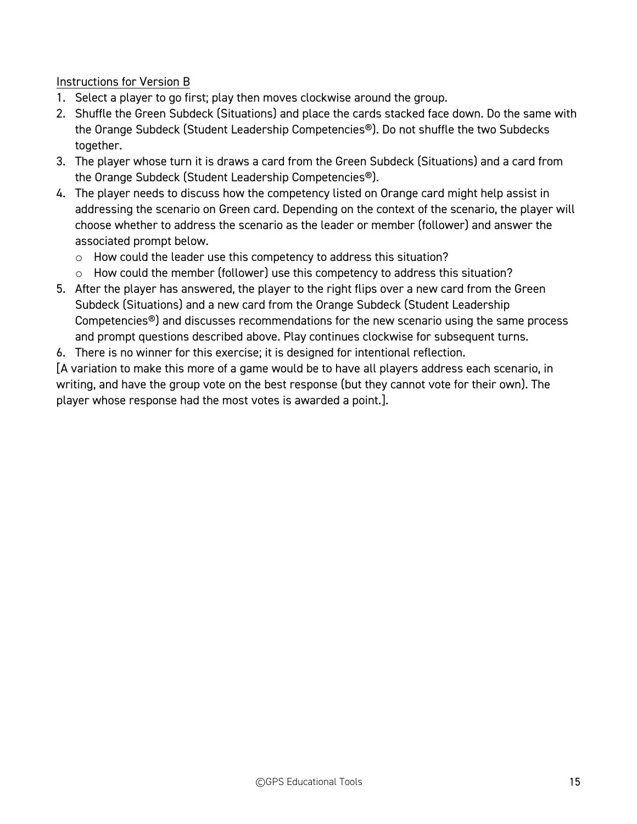### Instructions for Version B

- 1. Select a player to go first; play then moves clockwise around the group.
- 2. Shuffle the Green Subdeck (Situations) and place the cards stacked face down. Do the same with the Orange Subdeck (Student Leadership Competencies®). Do not shuffle the two Subdecks together.
- 3. The player whose turn it is draws a card from the Green Subdeck (Situations) and a card from the Orange Subdeck (Student Leadership Competencies®).
- 4. The player needs to discuss how the competency listed on Orange card might help assist in addressing the scenario on Green card. Depending on the context of the scenario, the player will choose whether to address the scenario as the leader or member (follower) and answer the associated prompt below.
	- o How could the leader use this competency to address this situation?
	- o How could the member (follower) use this competency to address this situation?
- 5. After the player has answered, the player to the right flips over a new card from the Green Subdeck (Situations) and a new card from the Orange Subdeck (Student Leadership Competencies®) and discusses recommendations for the new scenario using the same process and prompt questions described above. Play continues clockwise for subsequent turns.
- 6. There is no winner for this exercise; it is designed for intentional reflection.

[A variation to make this more of a game would be to have all players address each scenario, in writing, and have the group vote on the best response (but they cannot vote for their own). The player whose response had the most votes is awarded a point.].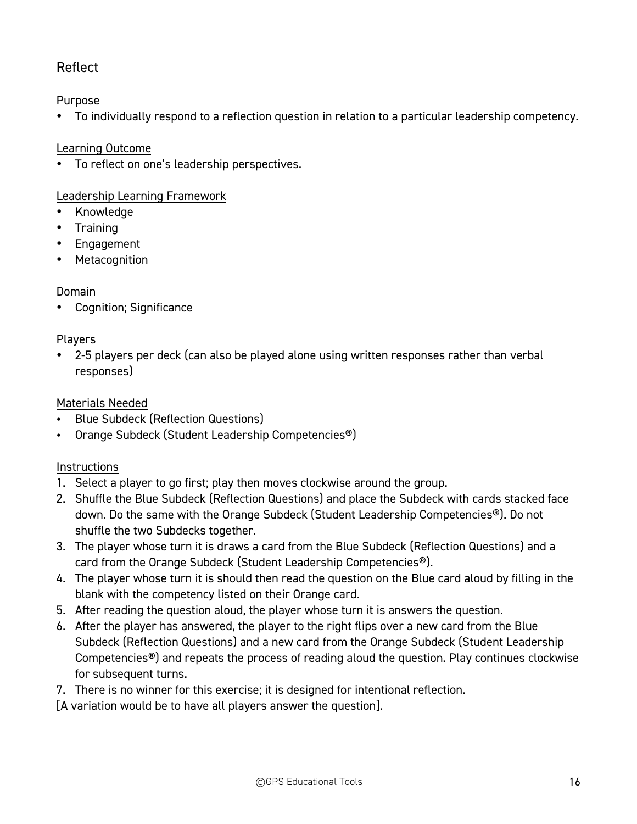### Reflect

### Purpose

• To individually respond to a reflection question in relation to a particular leadership competency.

### Learning Outcome

• To reflect on one's leadership perspectives.

### Leadership Learning Framework

- Knowledge
- Training
- Engagement
- **Metacognition**

### Domain

• Cognition; Significance

### Players

• 2-5 players per deck (can also be played alone using written responses rather than verbal responses)

### Materials Needed

- Blue Subdeck (Reflection Questions)
- Orange Subdeck (Student Leadership Competencies®)

### **Instructions**

- 1. Select a player to go first; play then moves clockwise around the group.
- 2. Shuffle the Blue Subdeck (Reflection Questions) and place the Subdeck with cards stacked face down. Do the same with the Orange Subdeck (Student Leadership Competencies®). Do not shuffle the two Subdecks together.
- 3. The player whose turn it is draws a card from the Blue Subdeck (Reflection Questions) and a card from the Orange Subdeck (Student Leadership Competencies®).
- 4. The player whose turn it is should then read the question on the Blue card aloud by filling in the blank with the competency listed on their Orange card.
- 5. After reading the question aloud, the player whose turn it is answers the question.
- 6. After the player has answered, the player to the right flips over a new card from the Blue Subdeck (Reflection Questions) and a new card from the Orange Subdeck (Student Leadership Competencies®) and repeats the process of reading aloud the question. Play continues clockwise for subsequent turns.
- 7. There is no winner for this exercise; it is designed for intentional reflection.

[A variation would be to have all players answer the question].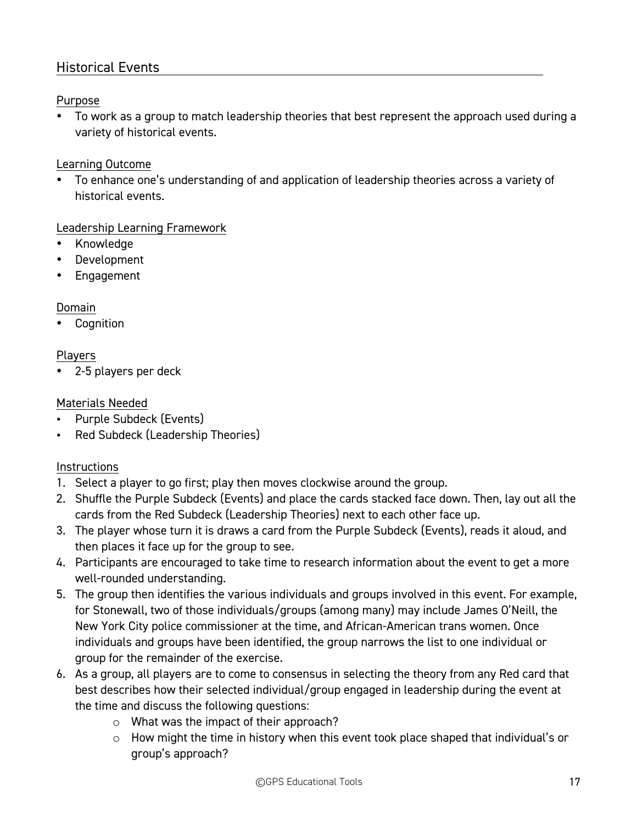### Historical Events

### Purpose

• To work as a group to match leadership theories that best represent the approach used during a variety of historical events.

### Learning Outcome

• To enhance one's understanding of and application of leadership theories across a variety of historical events.

### Leadership Learning Framework

- Knowledge
- Development
- Engagement

### Domain

**Cognition** 

### Players

• 2-5 players per deck

### Materials Needed

- Purple Subdeck (Events)
- Red Subdeck (Leadership Theories)

- 1. Select a player to go first; play then moves clockwise around the group.
- 2. Shuffle the Purple Subdeck (Events) and place the cards stacked face down. Then, lay out all the cards from the Red Subdeck (Leadership Theories) next to each other face up.
- 3. The player whose turn it is draws a card from the Purple Subdeck (Events), reads it aloud, and then places it face up for the group to see.
- 4. Participants are encouraged to take time to research information about the event to get a more well-rounded understanding.
- 5. The group then identifies the various individuals and groups involved in this event. For example, for Stonewall, two of those individuals/groups (among many) may include James O'Neill, the New York City police commissioner at the time, and African-American trans women. Once individuals and groups have been identified, the group narrows the list to one individual or group for the remainder of the exercise.
- 6. As a group, all players are to come to consensus in selecting the theory from any Red card that best describes how their selected individual/group engaged in leadership during the event at the time and discuss the following questions:
	- o What was the impact of their approach?
	- o How might the time in history when this event took place shaped that individual's or group's approach?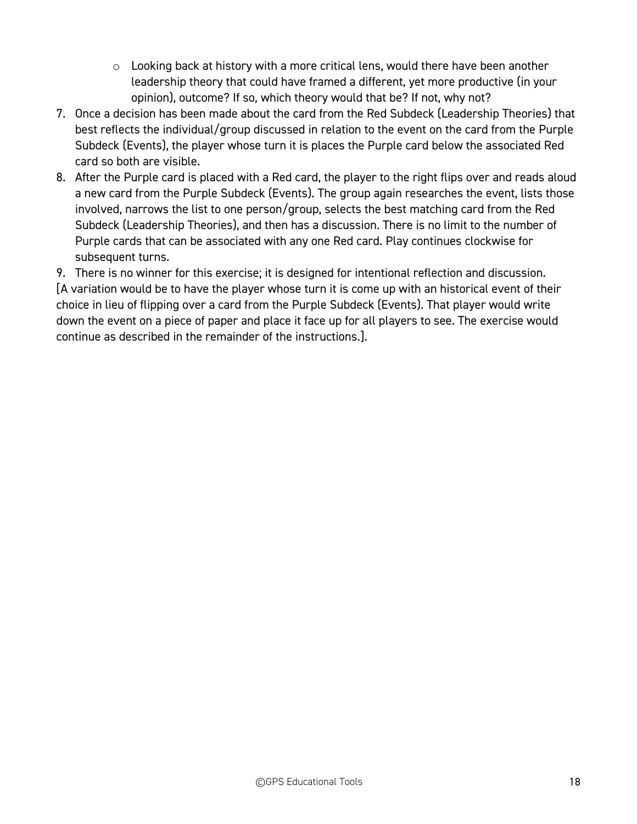- $\circ$  Looking back at history with a more critical lens, would there have been another leadership theory that could have framed a different, yet more productive (in your opinion), outcome? If so, which theory would that be? If not, why not?
- 7. Once a decision has been made about the card from the Red Subdeck (Leadership Theories) that best reflects the individual/group discussed in relation to the event on the card from the Purple Subdeck (Events), the player whose turn it is places the Purple card below the associated Red card so both are visible.
- 8. After the Purple card is placed with a Red card, the player to the right flips over and reads aloud a new card from the Purple Subdeck (Events). The group again researches the event, lists those involved, narrows the list to one person/group, selects the best matching card from the Red Subdeck (Leadership Theories), and then has a discussion. There is no limit to the number of Purple cards that can be associated with any one Red card. Play continues clockwise for subsequent turns.

9. There is no winner for this exercise; it is designed for intentional reflection and discussion. [A variation would be to have the player whose turn it is come up with an historical event of their choice in lieu of flipping over a card from the Purple Subdeck (Events). That player would write down the event on a piece of paper and place it face up for all players to see. The exercise would continue as described in the remainder of the instructions.].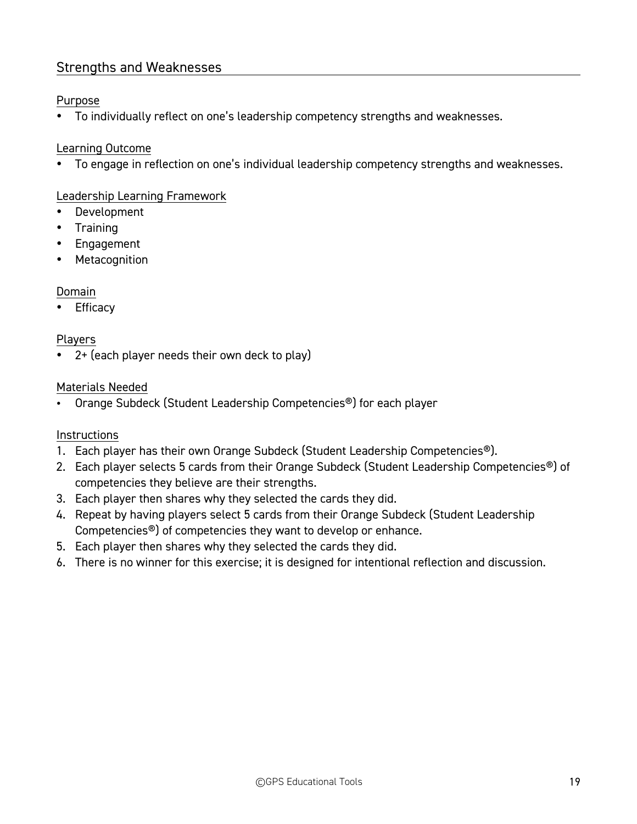### Strengths and Weaknesses

### Purpose

• To individually reflect on one's leadership competency strengths and weaknesses.

### Learning Outcome

• To engage in reflection on one's individual leadership competency strengths and weaknesses.

### Leadership Learning Framework

- Development
- Training
- Engagement
- Metacognition

### Domain

**Efficacy** 

### Players

• 2+ (each player needs their own deck to play)

### Materials Needed

• Orange Subdeck (Student Leadership Competencies®) for each player

- 1. Each player has their own Orange Subdeck (Student Leadership Competencies®).
- 2. Each player selects 5 cards from their Orange Subdeck (Student Leadership Competencies<sup>®</sup>) of competencies they believe are their strengths.
- 3. Each player then shares why they selected the cards they did.
- 4. Repeat by having players select 5 cards from their Orange Subdeck (Student Leadership Competencies®) of competencies they want to develop or enhance.
- 5. Each player then shares why they selected the cards they did.
- 6. There is no winner for this exercise; it is designed for intentional reflection and discussion.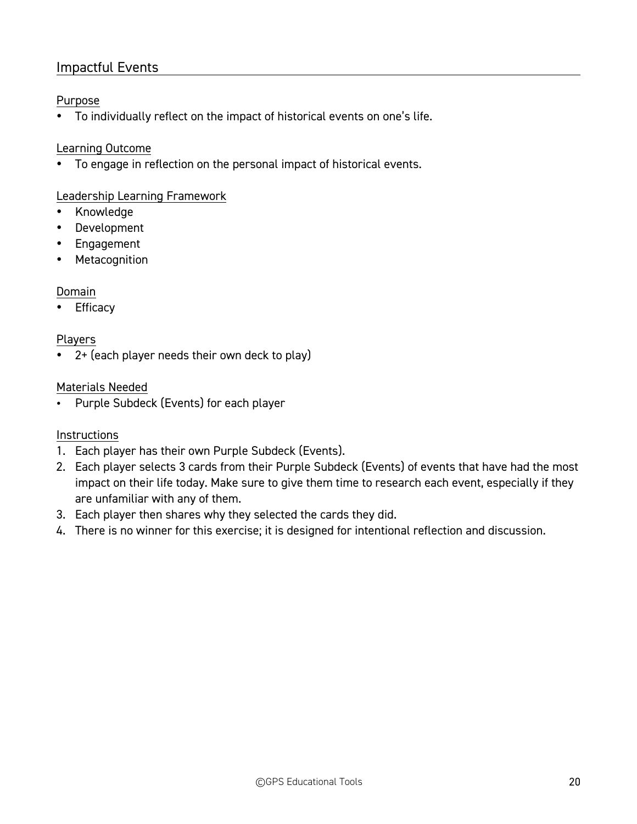### Impactful Events

### Purpose

• To individually reflect on the impact of historical events on one's life.

### Learning Outcome

• To engage in reflection on the personal impact of historical events.

### Leadership Learning Framework

- Knowledge
- Development
- Engagement
- Metacognition

### Domain

• Efficacy

### Players

• 2+ (each player needs their own deck to play)

### Materials Needed

• Purple Subdeck (Events) for each player

- 1. Each player has their own Purple Subdeck (Events).
- 2. Each player selects 3 cards from their Purple Subdeck (Events) of events that have had the most impact on their life today. Make sure to give them time to research each event, especially if they are unfamiliar with any of them.
- 3. Each player then shares why they selected the cards they did.
- 4. There is no winner for this exercise; it is designed for intentional reflection and discussion.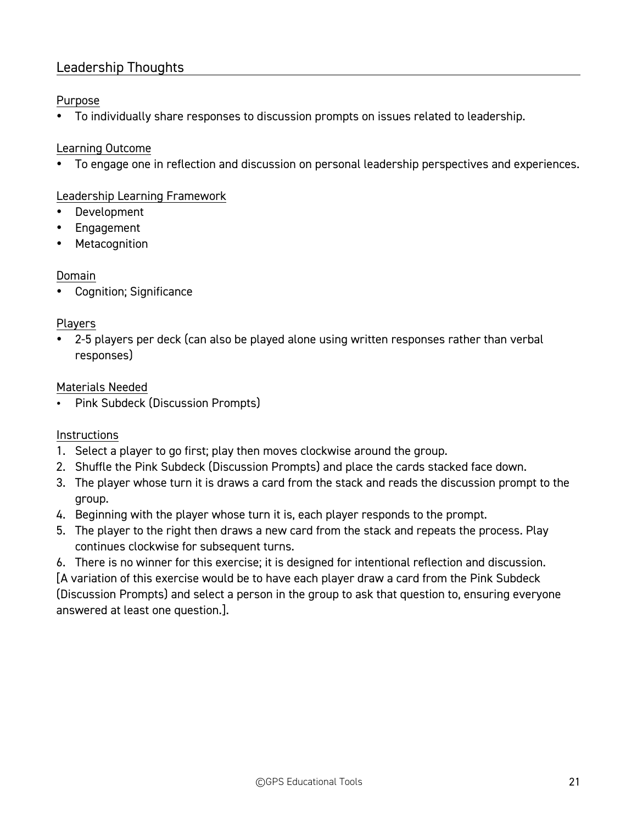### Leadership Thoughts

### Purpose

• To individually share responses to discussion prompts on issues related to leadership.

### Learning Outcome

• To engage one in reflection and discussion on personal leadership perspectives and experiences.

### Leadership Learning Framework

- **Development**
- Engagement
- Metacognition

### Domain

• Cognition; Significance

### Players

• 2-5 players per deck (can also be played alone using written responses rather than verbal responses)

### Materials Needed

Pink Subdeck (Discussion Prompts)

### **Instructions**

- 1. Select a player to go first; play then moves clockwise around the group.
- 2. Shuffle the Pink Subdeck (Discussion Prompts) and place the cards stacked face down.
- 3. The player whose turn it is draws a card from the stack and reads the discussion prompt to the group.
- 4. Beginning with the player whose turn it is, each player responds to the prompt.
- 5. The player to the right then draws a new card from the stack and repeats the process. Play continues clockwise for subsequent turns.
- 6. There is no winner for this exercise; it is designed for intentional reflection and discussion.

[A variation of this exercise would be to have each player draw a card from the Pink Subdeck (Discussion Prompts) and select a person in the group to ask that question to, ensuring everyone answered at least one question.].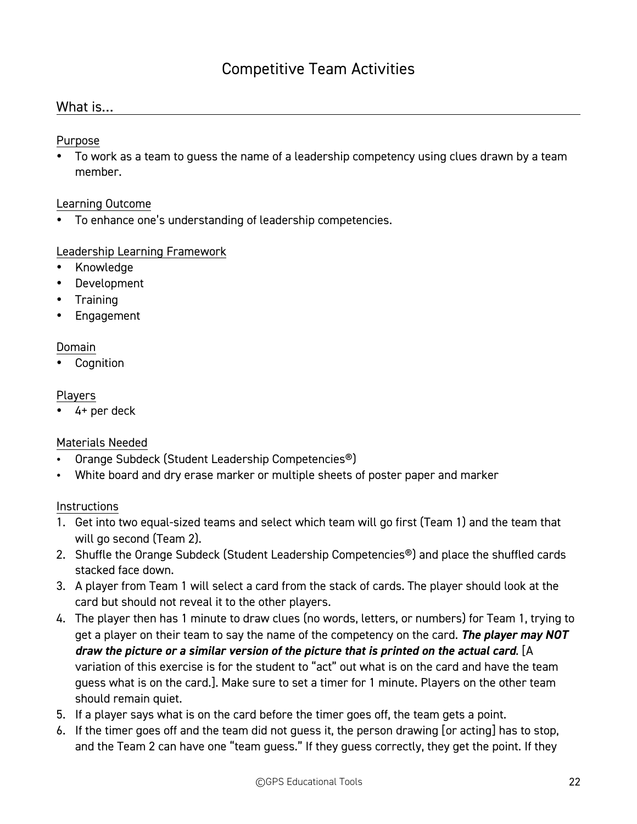## Competitive Team Activities

### What is…

Purpose

• To work as a team to guess the name of a leadership competency using clues drawn by a team member.

#### Learning Outcome

• To enhance one's understanding of leadership competencies.

### Leadership Learning Framework

- Knowledge
- Development
- Training
- **Engagement**

#### Domain

• Cognition

#### Players

• 4+ per deck

### Materials Needed

- Orange Subdeck (Student Leadership Competencies®)
- White board and dry erase marker or multiple sheets of poster paper and marker

- 1. Get into two equal-sized teams and select which team will go first (Team 1) and the team that will go second (Team 2).
- 2. Shuffle the Orange Subdeck (Student Leadership Competencies<sup>®</sup>) and place the shuffled cards stacked face down.
- 3. A player from Team 1 will select a card from the stack of cards. The player should look at the card but should not reveal it to the other players.
- 4. The player then has 1 minute to draw clues (no words, letters, or numbers) for Team 1, trying to get a player on their team to say the name of the competency on the card. *The player may NOT draw the picture or a similar version of the picture that is printed on the actual card*. [A variation of this exercise is for the student to "act" out what is on the card and have the team guess what is on the card.]. Make sure to set a timer for 1 minute. Players on the other team should remain quiet.
- 5. If a player says what is on the card before the timer goes off, the team gets a point.
- 6. If the timer goes off and the team did not guess it, the person drawing [or acting] has to stop, and the Team 2 can have one "team guess." If they guess correctly, they get the point. If they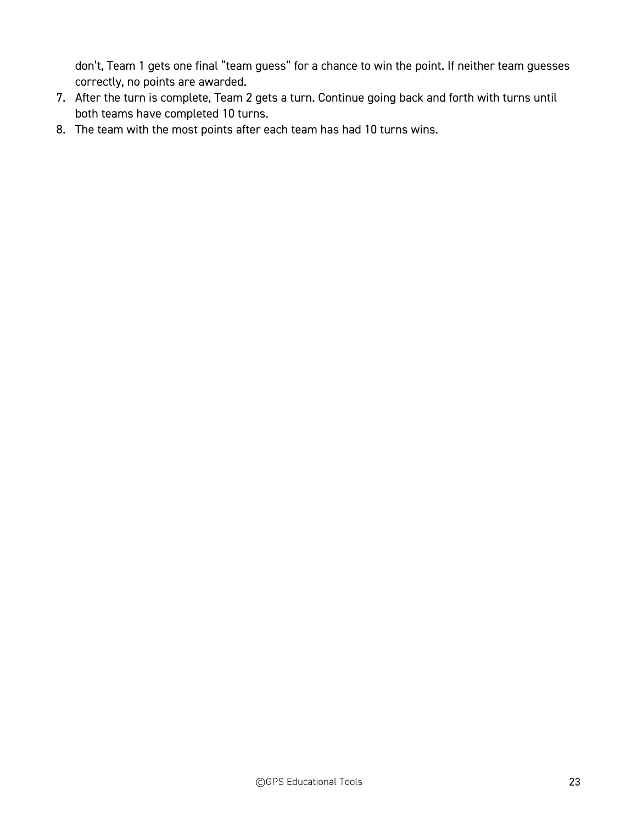don't, Team 1 gets one final "team guess" for a chance to win the point. If neither team guesses correctly, no points are awarded.

- 7. After the turn is complete, Team 2 gets a turn. Continue going back and forth with turns until both teams have completed 10 turns.
- 8. The team with the most points after each team has had 10 turns wins.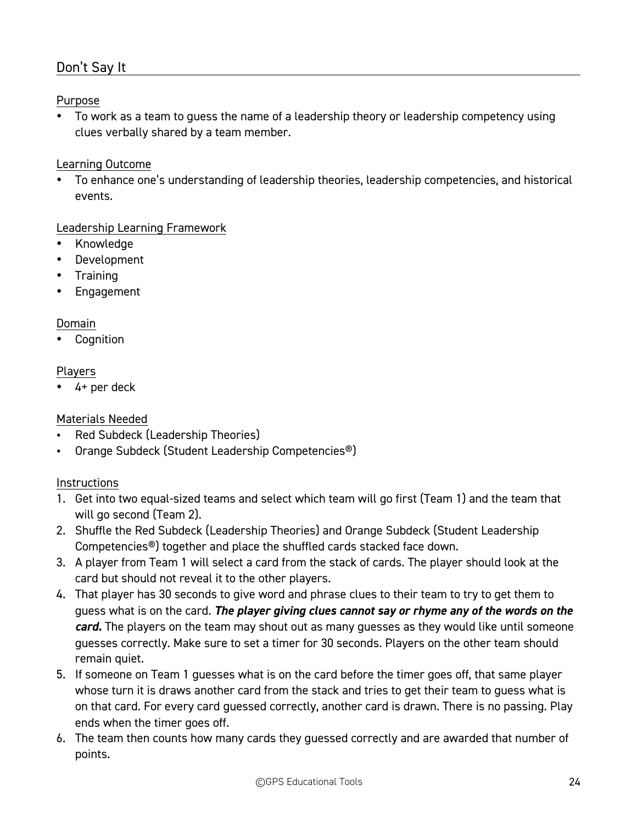### Don't Say It

### Purpose

• To work as a team to guess the name of a leadership theory or leadership competency using clues verbally shared by a team member.

### Learning Outcome

• To enhance one's understanding of leadership theories, leadership competencies, and historical events.

### Leadership Learning Framework

- Knowledge
- Development
- Training
- **Engagement**

### Domain

**Cognition** 

### Players

• 4+ per deck

### Materials Needed

- Red Subdeck (Leadership Theories)
- Orange Subdeck (Student Leadership Competencies®)

- 1. Get into two equal-sized teams and select which team will go first (Team 1) and the team that will go second (Team 2).
- 2. Shuffle the Red Subdeck (Leadership Theories) and Orange Subdeck (Student Leadership Competencies®) together and place the shuffled cards stacked face down.
- 3. A player from Team 1 will select a card from the stack of cards. The player should look at the card but should not reveal it to the other players.
- 4. That player has 30 seconds to give word and phrase clues to their team to try to get them to guess what is on the card. *The player giving clues cannot say or rhyme any of the words on the card.* The players on the team may shout out as many guesses as they would like until someone guesses correctly. Make sure to set a timer for 30 seconds. Players on the other team should remain quiet.
- 5. If someone on Team 1 guesses what is on the card before the timer goes off, that same player whose turn it is draws another card from the stack and tries to get their team to guess what is on that card. For every card guessed correctly, another card is drawn. There is no passing. Play ends when the timer goes off.
- 6. The team then counts how many cards they guessed correctly and are awarded that number of points.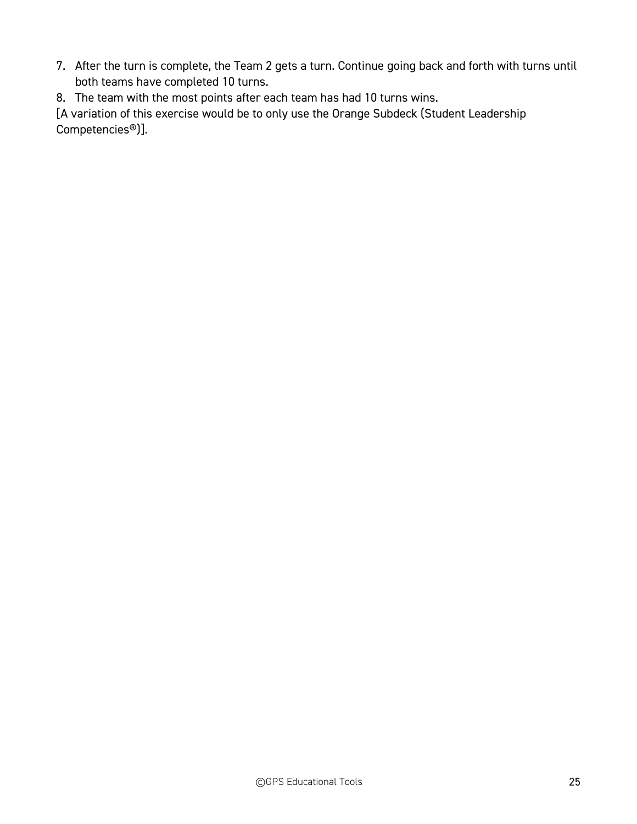- 7. After the turn is complete, the Team 2 gets a turn. Continue going back and forth with turns until both teams have completed 10 turns.
- 8. The team with the most points after each team has had 10 turns wins.

[A variation of this exercise would be to only use the Orange Subdeck (Student Leadership Competencies®)].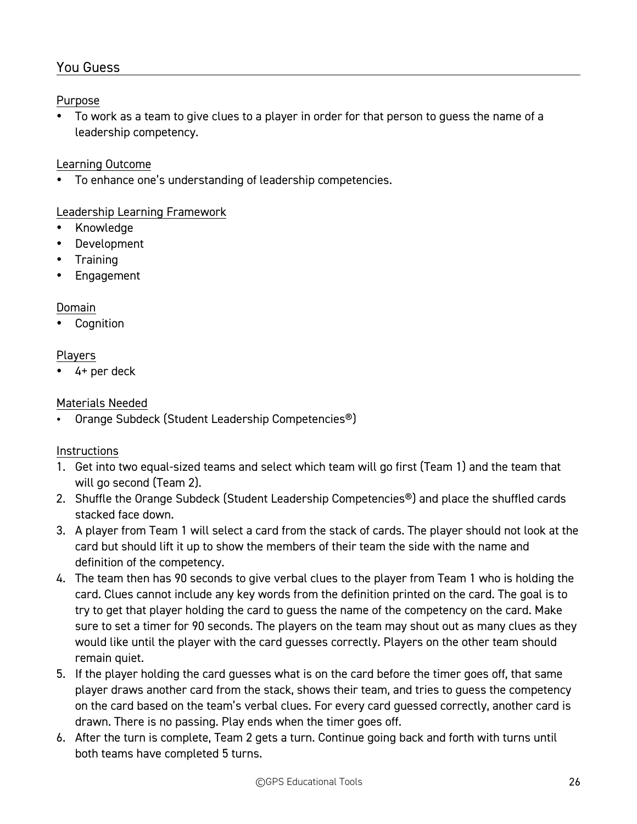### You Guess

### Purpose

• To work as a team to give clues to a player in order for that person to guess the name of a leadership competency.

### Learning Outcome

• To enhance one's understanding of leadership competencies.

### Leadership Learning Framework

- Knowledge
- Development
- Training
- Engagement

### Domain

**Cognition** 

### Players

4+ per deck

### Materials Needed

• Orange Subdeck (Student Leadership Competencies®)

- 1. Get into two equal-sized teams and select which team will go first (Team 1) and the team that will go second (Team 2).
- 2. Shuffle the Orange Subdeck (Student Leadership Competencies®) and place the shuffled cards stacked face down.
- 3. A player from Team 1 will select a card from the stack of cards. The player should not look at the card but should lift it up to show the members of their team the side with the name and definition of the competency.
- 4. The team then has 90 seconds to give verbal clues to the player from Team 1 who is holding the card. Clues cannot include any key words from the definition printed on the card. The goal is to try to get that player holding the card to guess the name of the competency on the card. Make sure to set a timer for 90 seconds. The players on the team may shout out as many clues as they would like until the player with the card guesses correctly. Players on the other team should remain quiet.
- 5. If the player holding the card guesses what is on the card before the timer goes off, that same player draws another card from the stack, shows their team, and tries to guess the competency on the card based on the team's verbal clues. For every card guessed correctly, another card is drawn. There is no passing. Play ends when the timer goes off.
- 6. After the turn is complete, Team 2 gets a turn. Continue going back and forth with turns until both teams have completed 5 turns.